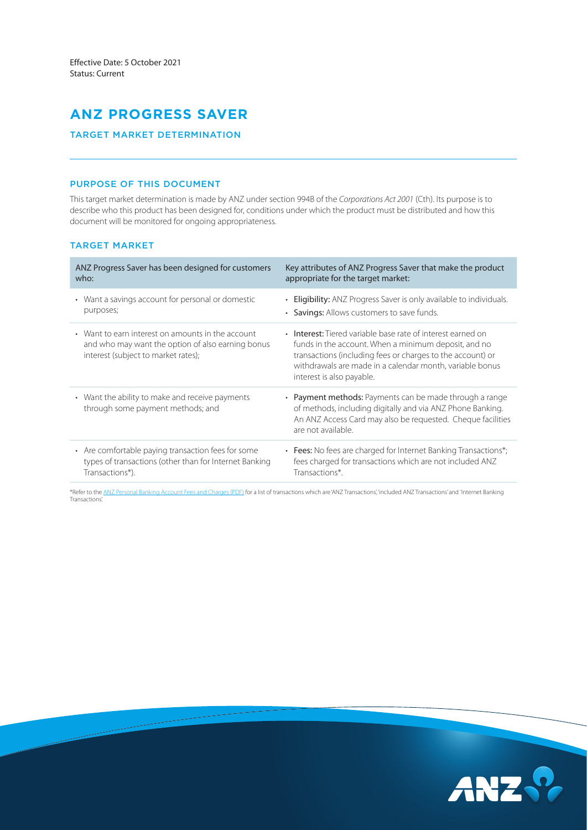# **ANZ PROGRESS SAVER**

## TARGET MARKET DETERMINATION

## PURPOSE OF THIS DOCUMENT

This target market determination is made by ANZ under section 994B of the *Corporations Act 2001* (Cth). Its purpose is to describe who this product has been designed for, conditions under which the product must be distributed and how this document will be monitored for ongoing appropriateness.

# TARGET MARKET

| ANZ Progress Saver has been designed for customers                                                                                            | Key attributes of ANZ Progress Saver that make the product                                                                                                                                                                                                                 |
|-----------------------------------------------------------------------------------------------------------------------------------------------|----------------------------------------------------------------------------------------------------------------------------------------------------------------------------------------------------------------------------------------------------------------------------|
| who:                                                                                                                                          | appropriate for the target market:                                                                                                                                                                                                                                         |
| • Want a savings account for personal or domestic                                                                                             | • Eligibility: ANZ Progress Saver is only available to individuals.                                                                                                                                                                                                        |
| purposes;                                                                                                                                     | • Savings: Allows customers to save funds.                                                                                                                                                                                                                                 |
| • Want to earn interest on amounts in the account<br>and who may want the option of also earning bonus<br>interest (subject to market rates); | • Interest: Tiered variable base rate of interest earned on<br>funds in the account. When a minimum deposit, and no<br>transactions (including fees or charges to the account) or<br>withdrawals are made in a calendar month, variable bonus<br>interest is also payable. |
| • Want the ability to make and receive payments<br>through some payment methods; and                                                          | • Payment methods: Payments can be made through a range<br>of methods, including digitally and via ANZ Phone Banking.<br>An ANZ Access Card may also be requested. Cheque facilities<br>are not available.                                                                 |
| • Are comfortable paying transaction fees for some                                                                                            | • Fees: No fees are charged for Internet Banking Transactions*;                                                                                                                                                                                                            |
| types of transactions (other than for Internet Banking                                                                                        | fees charged for transactions which are not included ANZ                                                                                                                                                                                                                   |
| Transactions*).                                                                                                                               | Transactions*.                                                                                                                                                                                                                                                             |

\*Refer to the [ANZ Personal Banking Account Fees and Charges \(PDF\)](https://www.anz.com.au/content/dam/anzcomau/documents/pdf/personal-account-fees-charges.pdf) for a list of transactions which are 'ANZ Transactions', 'included ANZ Transactions' and 'Internet Banking Transactions'.

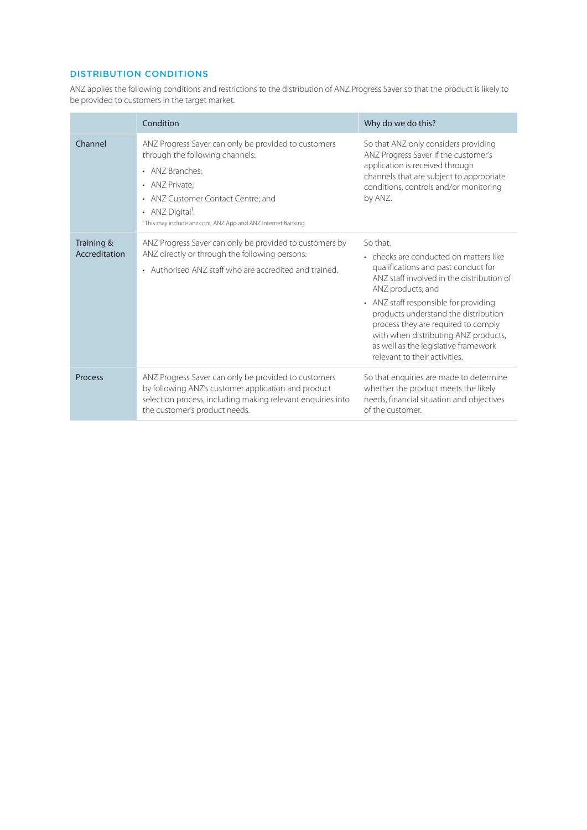# DISTRIBUTION CONDITIONS

ANZ applies the following conditions and restrictions to the distribution of ANZ Progress Saver so that the product is likely to be provided to customers in the target market.

|                             | Condition                                                                                                                                                                                                                                                                      | Why do we do this?                                                                                                                                                                                                                                                                                                                                                                                   |  |
|-----------------------------|--------------------------------------------------------------------------------------------------------------------------------------------------------------------------------------------------------------------------------------------------------------------------------|------------------------------------------------------------------------------------------------------------------------------------------------------------------------------------------------------------------------------------------------------------------------------------------------------------------------------------------------------------------------------------------------------|--|
| Channel                     | ANZ Progress Saver can only be provided to customers<br>through the following channels:<br>• ANZ Branches:<br>• ANZ Private:<br>• ANZ Customer Contact Centre; and<br>• ANZ Digital <sup>1</sup> .<br><sup>1</sup> This may include anz.com, ANZ App and ANZ Internet Banking. | So that ANZ only considers providing<br>ANZ Progress Saver if the customer's<br>application is received through<br>channels that are subject to appropriate<br>conditions, controls and/or monitoring<br>by ANZ.                                                                                                                                                                                     |  |
| Training &<br>Accreditation | ANZ Progress Saver can only be provided to customers by<br>ANZ directly or through the following persons:<br>• Authorised ANZ staff who are accredited and trained.                                                                                                            | So that:<br>• checks are conducted on matters like<br>qualifications and past conduct for<br>ANZ staff involved in the distribution of<br>ANZ products; and<br>• ANZ staff responsible for providing<br>products understand the distribution<br>process they are required to comply<br>with when distributing ANZ products,<br>as well as the legislative framework<br>relevant to their activities. |  |
| Process                     | ANZ Progress Saver can only be provided to customers<br>by following ANZ's customer application and product<br>selection process, including making relevant enquiries into<br>the customer's product needs.                                                                    | So that enquiries are made to determine<br>whether the product meets the likely<br>needs, financial situation and objectives<br>of the customer.                                                                                                                                                                                                                                                     |  |